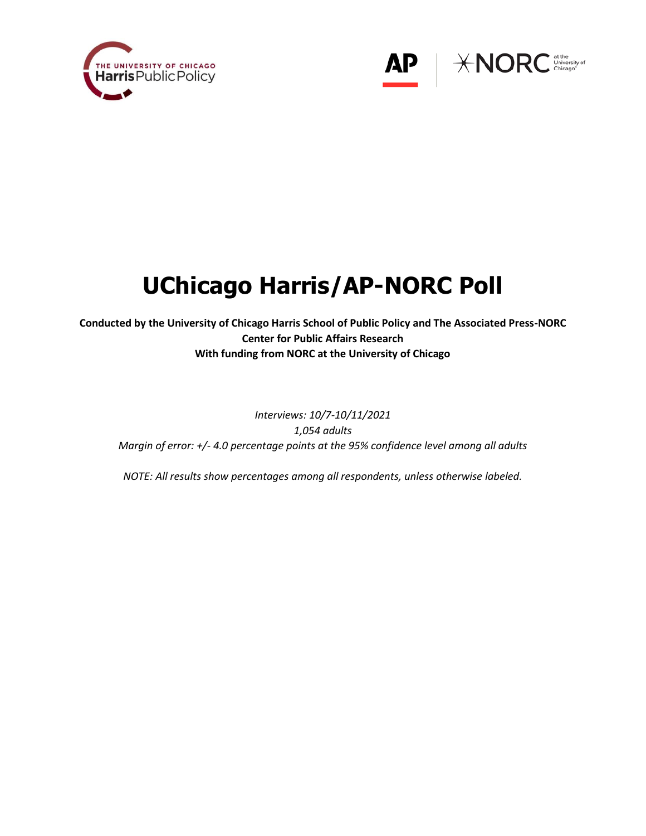



# **UChicago Harris/AP-NORC Poll**

**Conducted by the University of Chicago Harris School of Public Policy and The Associated Press-NORC Center for Public Affairs Research With funding from NORC at the University of Chicago**

*Interviews: 10/7-10/11/2021 1,054 adults Margin of error: +/- 4.0 percentage points at the 95% confidence level among all adults*

*NOTE: All results show percentages among all respondents, unless otherwise labeled.*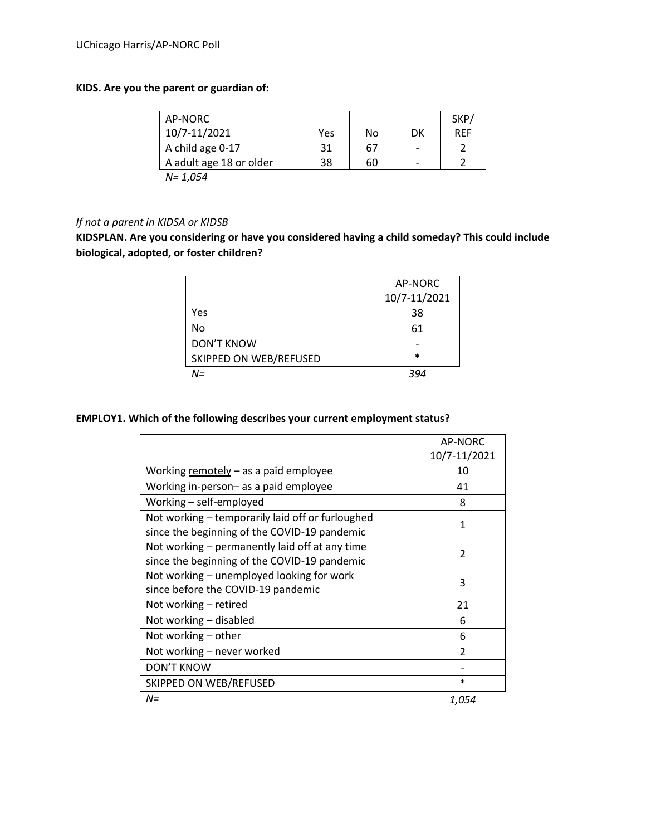# **KIDS. Are you the parent or guardian of:**

| AP-NORC                 |     |    |                          | SKP/       |
|-------------------------|-----|----|--------------------------|------------|
| 10/7-11/2021            | Yes | No | DK                       | <b>RFF</b> |
| A child age 0-17        | 31  | 67 | $\overline{\phantom{0}}$ |            |
| A adult age 18 or older | 38  | 60 | $\overline{\phantom{0}}$ |            |
| N= 1.054                |     |    |                          |            |

# *If not a parent in KIDSA or KIDSB*

**KIDSPLAN. Are you considering or have you considered having a child someday? This could include biological, adopted, or foster children?**

|                        | AP-NORC      |
|------------------------|--------------|
|                        | 10/7-11/2021 |
| Yes                    | 38           |
| No                     | 61           |
| <b>DON'T KNOW</b>      |              |
| SKIPPED ON WEB/REFUSED | $\ast$       |
| N=                     | 39⊿          |

# **EMPLOY1. Which of the following describes your current employment status?**

|                                                  | AP-NORC                  |  |  |  |
|--------------------------------------------------|--------------------------|--|--|--|
|                                                  | 10/7-11/2021             |  |  |  |
| Working remotely $-$ as a paid employee          | 10                       |  |  |  |
| Working in-person- as a paid employee            | 41                       |  |  |  |
| Working - self-employed                          | 8                        |  |  |  |
| Not working – temporarily laid off or furloughed | 1                        |  |  |  |
| since the beginning of the COVID-19 pandemic     |                          |  |  |  |
| Not working – permanently laid off at any time   | $\overline{\phantom{a}}$ |  |  |  |
| since the beginning of the COVID-19 pandemic     |                          |  |  |  |
| Not working – unemployed looking for work        | 3                        |  |  |  |
| since before the COVID-19 pandemic               |                          |  |  |  |
| Not working - retired                            | 21                       |  |  |  |
| Not working - disabled                           | 6                        |  |  |  |
| Not working $-$ other                            | 6                        |  |  |  |
| Not working - never worked                       | $\mathfrak{p}$           |  |  |  |
| <b>DON'T KNOW</b>                                |                          |  |  |  |
| SKIPPED ON WEB/REFUSED                           | $\ast$                   |  |  |  |
| $N =$                                            | 1,054                    |  |  |  |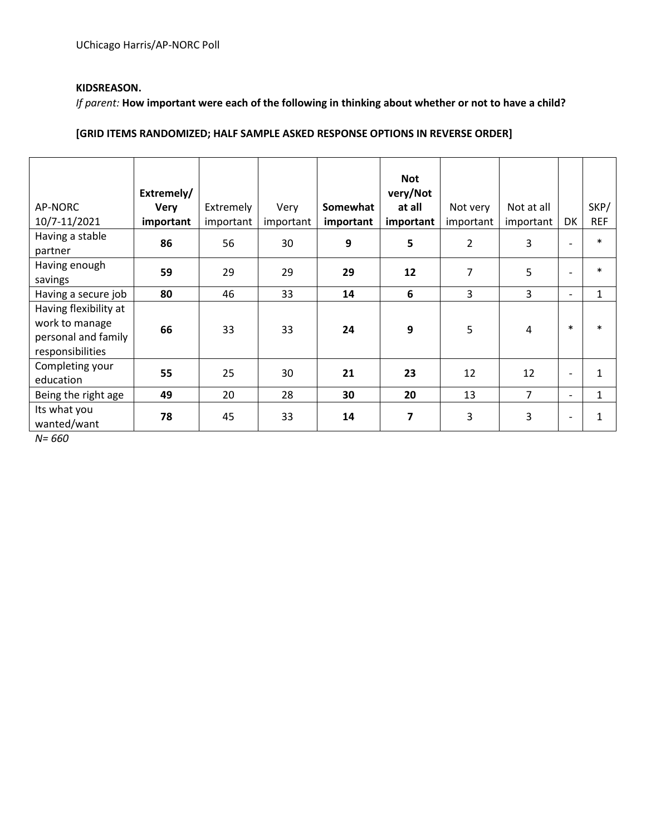## **KIDSREASON.**

*If parent:* **How important were each of the following in thinking about whether or not to have a child?**

# **[GRID ITEMS RANDOMIZED; HALF SAMPLE ASKED RESPONSE OPTIONS IN REVERSE ORDER]**

|                       |             |           |           |           | <b>Not</b> |                |            |                          |              |
|-----------------------|-------------|-----------|-----------|-----------|------------|----------------|------------|--------------------------|--------------|
|                       | Extremely/  |           |           |           | very/Not   |                |            |                          |              |
| AP-NORC               | <b>Very</b> | Extremely | Very      | Somewhat  | at all     | Not very       | Not at all |                          | SKP/         |
| 10/7-11/2021          | important   | important | important | important | important  | important      | important  | DK                       | <b>REF</b>   |
| Having a stable       | 86          | 56        | 30        | 9         | 5          | $\overline{2}$ | 3          |                          | $\ast$       |
| partner               |             |           |           |           |            |                |            |                          |              |
| Having enough         | 59          | 29        | 29        | 29        | 12         | $\overline{7}$ | 5          |                          | $\ast$       |
| savings               |             |           |           |           |            |                |            |                          |              |
| Having a secure job   | 80          | 46        | 33        | 14        | 6          | 3              | 3          | $\overline{\phantom{0}}$ | $\mathbf{1}$ |
| Having flexibility at |             |           |           |           |            |                |            |                          |              |
| work to manage        | 66          | 33        | 33        | 24        | 9          | 5              | 4          | $\ast$                   | $\ast$       |
| personal and family   |             |           |           |           |            |                |            |                          |              |
| responsibilities      |             |           |           |           |            |                |            |                          |              |
| Completing your       | 55          | 25        | 30        | 21        | 23         | 12             | 12         | $\overline{\phantom{a}}$ | $\mathbf{1}$ |
| education             |             |           |           |           |            |                |            |                          |              |
| Being the right age   | 49          | 20        | 28        | 30        | 20         | 13             | 7          | $\overline{\phantom{0}}$ | 1            |
| Its what you          | 78          | 45        | 33        | 14        | 7          | 3              | 3          | $\overline{\phantom{0}}$ | $\mathbf{1}$ |
| wanted/want           |             |           |           |           |            |                |            |                          |              |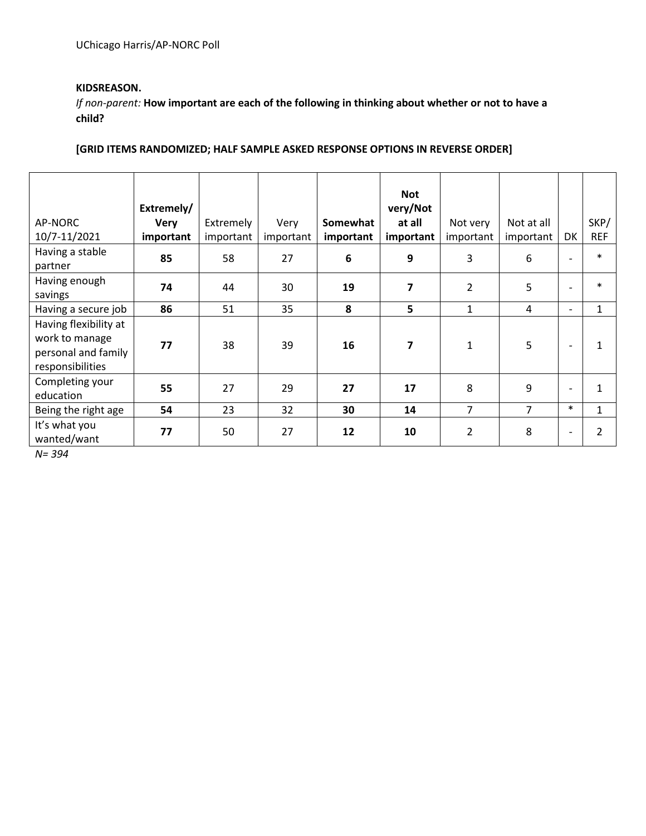## **KIDSREASON.**

*If non-parent:* **How important are each of the following in thinking about whether or not to have a child?**

# **[GRID ITEMS RANDOMIZED; HALF SAMPLE ASKED RESPONSE OPTIONS IN REVERSE ORDER]**

|                       |             |           |           |           | <b>Not</b> |                |                |                          |                |
|-----------------------|-------------|-----------|-----------|-----------|------------|----------------|----------------|--------------------------|----------------|
|                       | Extremely/  |           |           |           | very/Not   |                |                |                          |                |
| AP-NORC               | <b>Very</b> | Extremely | Very      | Somewhat  | at all     | Not very       | Not at all     |                          | SKP/           |
| 10/7-11/2021          | important   | important | important | important | important  | important      | important      | DK                       | <b>REF</b>     |
| Having a stable       | 85          | 58        | 27        | 6         | 9          | 3              | 6              | $\overline{\phantom{a}}$ | $\ast$         |
| partner               |             |           |           |           |            |                |                |                          |                |
| Having enough         | 74          | 44        | 30        | 19        | 7          | $\overline{2}$ | 5              | $\overline{\phantom{a}}$ | $\ast$         |
| savings               |             |           |           |           |            |                |                |                          |                |
| Having a secure job   | 86          | 51        | 35        | 8         | 5          | $\mathbf{1}$   | 4              |                          | $\mathbf{1}$   |
| Having flexibility at |             |           |           |           |            |                |                |                          |                |
| work to manage        | 77          | 38        | 39        | 16        | 7          | $\mathbf{1}$   | 5              |                          | 1              |
| personal and family   |             |           |           |           |            |                |                |                          |                |
| responsibilities      |             |           |           |           |            |                |                |                          |                |
| Completing your       | 55          | 27        | 29        | 27        | 17         | 8              | 9              | $\overline{\phantom{a}}$ | $\mathbf{1}$   |
| education             |             |           |           |           |            |                |                |                          |                |
| Being the right age   | 54          | 23        | 32        | 30        | 14         | $\overline{7}$ | $\overline{7}$ | $\ast$                   | $\mathbf{1}$   |
| It's what you         | 77          | 50        | 27        | 12        | 10         | $\overline{2}$ | 8              | $\overline{\phantom{a}}$ | $\overline{2}$ |
| wanted/want           |             |           |           |           |            |                |                |                          |                |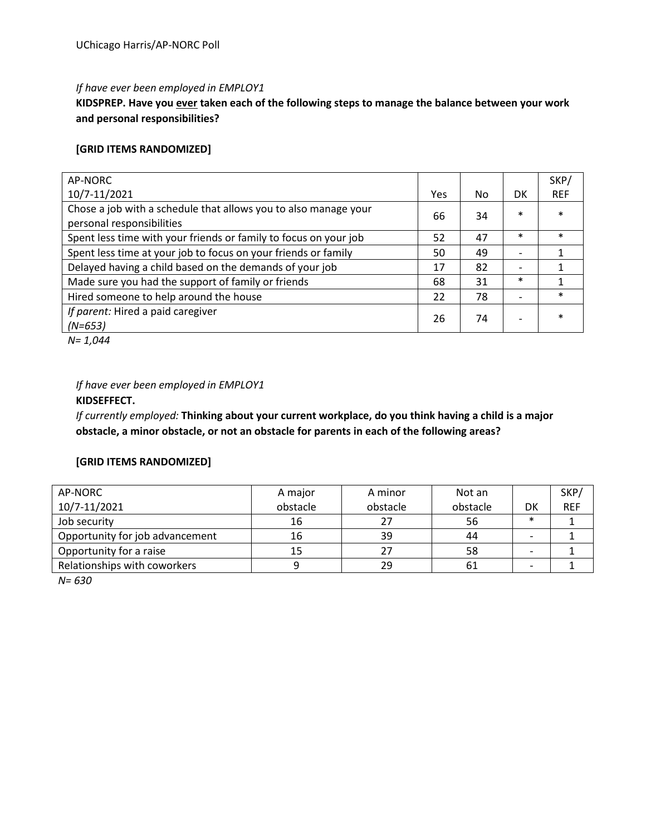#### *If have ever been employed in EMPLOY1*

**KIDSPREP. Have you ever taken each of the following steps to manage the balance between your work and personal responsibilities?** 

## **[GRID ITEMS RANDOMIZED]**

| AP-NORC                                                                                      |     |     |        | SKP/       |
|----------------------------------------------------------------------------------------------|-----|-----|--------|------------|
| 10/7-11/2021                                                                                 | Yes | No. | DK     | <b>REF</b> |
| Chose a job with a schedule that allows you to also manage your<br>personal responsibilities | 66  | 34  | $\ast$ | $\ast$     |
| Spent less time with your friends or family to focus on your job                             | 52  | 47  | $\ast$ | $\ast$     |
| Spent less time at your job to focus on your friends or family                               | 50  | 49  |        | 1          |
| Delayed having a child based on the demands of your job                                      | 17  | 82  |        |            |
| Made sure you had the support of family or friends                                           | 68  | 31  | $\ast$ |            |
| Hired someone to help around the house                                                       | 22  | 78  |        | $\ast$     |
| If parent: Hired a paid caregiver<br>$(N=653)$                                               | 26  | 74  |        | $\ast$     |

*N= 1,044*

## *If have ever been employed in EMPLOY1*

## **KIDSEFFECT.**

*If currently employed:* **Thinking about your current workplace, do you think having a child is a major obstacle, a minor obstacle, or not an obstacle for parents in each of the following areas?**

#### **[GRID ITEMS RANDOMIZED]**

| AP-NORC                         | A major  | A minor  | Not an   |                          | SKP/       |
|---------------------------------|----------|----------|----------|--------------------------|------------|
| 10/7-11/2021                    | obstacle | obstacle | obstacle | DK                       | <b>REF</b> |
| Job security                    | 16       | 27       | 56       | $\ast$                   |            |
| Opportunity for job advancement | 16       | 39       | 44       | $\overline{\phantom{0}}$ |            |
| Opportunity for a raise         |          | 27       | 58       | $\overline{\phantom{0}}$ |            |
| Relationships with coworkers    |          | 29       | 61       |                          |            |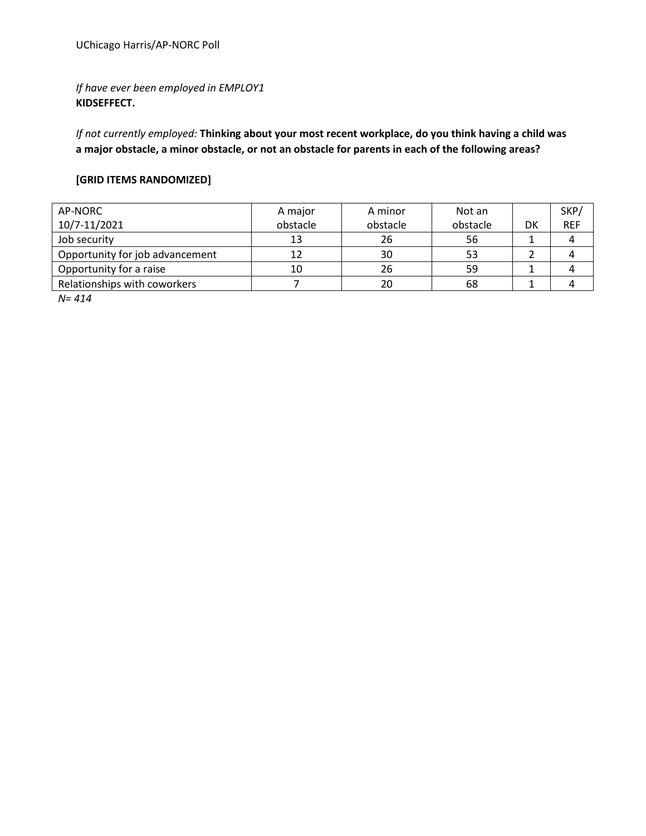*If have ever been employed in EMPLOY1* **KIDSEFFECT.** 

*If not currently employed:* **Thinking about your most recent workplace, do you think having a child was a major obstacle, a minor obstacle, or not an obstacle for parents in each of the following areas?**

## **[GRID ITEMS RANDOMIZED]**

| AP-NORC                         | A major  | A minor  | Not an   |    | SKP/       |
|---------------------------------|----------|----------|----------|----|------------|
| 10/7-11/2021                    | obstacle | obstacle | obstacle | DK | <b>REF</b> |
| Job security                    | 13       | 26       | 56       |    |            |
| Opportunity for job advancement |          | 30       | 53       |    |            |
| Opportunity for a raise         | 10       | 26       | 59       |    |            |
| Relationships with coworkers    |          | 20       | 68       |    |            |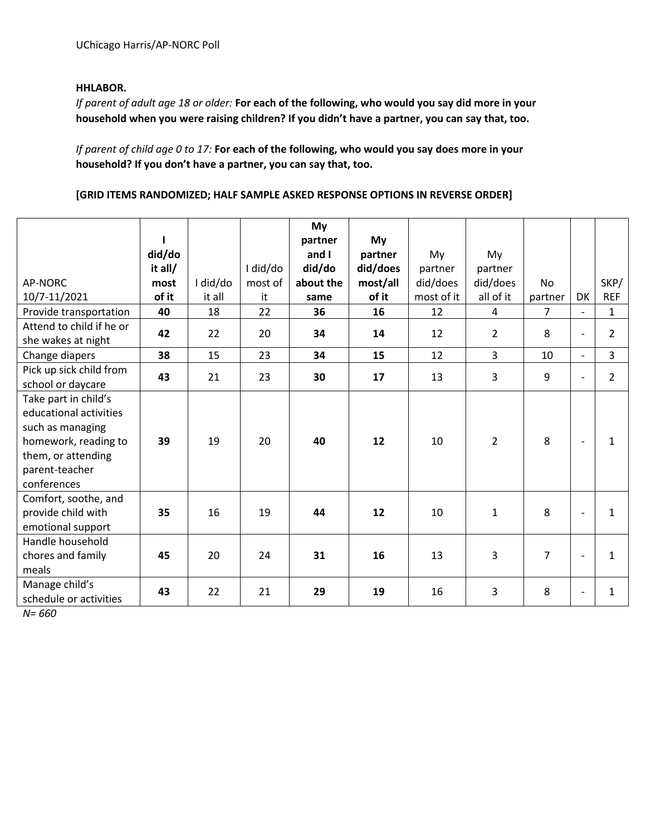## **HHLABOR.**

*If parent of adult age 18 or older:* **For each of the following, who would you say did more in your household when you were raising children? If you didn't have a partner, you can say that, too.**

*If parent of child age 0 to 17:* **For each of the following, who would you say does more in your household? If you don't have a partner, you can say that, too.**

#### **[GRID ITEMS RANDOMIZED; HALF SAMPLE ASKED RESPONSE OPTIONS IN REVERSE ORDER]**

|                          |         |          |          | My<br>partner | My       |            |                |                |                          |                |
|--------------------------|---------|----------|----------|---------------|----------|------------|----------------|----------------|--------------------------|----------------|
|                          | did/do  |          |          | and I         | partner  | My         | My             |                |                          |                |
|                          | it all/ |          | I did/do | did/do        | did/does | partner    | partner        |                |                          |                |
| AP-NORC                  | most    | I did/do | most of  | about the     | most/all | did/does   | did/does       | <b>No</b>      |                          | SKP/           |
| 10/7-11/2021             | of it   | it all   | it       | same          | of it    | most of it | all of it      | partner        | DK                       | <b>REF</b>     |
| Provide transportation   | 40      | 18       | 22       | 36            | 16       | 12         | 4              | $\overline{7}$ | $\overline{\phantom{0}}$ | $\mathbf{1}$   |
| Attend to child if he or | 42      | 22       | 20       | 34            | 14       | 12         | $\overline{2}$ | 8              | $\overline{\phantom{a}}$ | $\overline{2}$ |
| she wakes at night       |         |          |          |               |          |            |                |                |                          |                |
| Change diapers           | 38      | 15       | 23       | 34            | 15       | 12         | $\overline{3}$ | 10             | $\blacksquare$           | 3              |
| Pick up sick child from  | 43      | 21       | 23       | 30            | 17       | 13         | 3              | 9              | $\overline{\phantom{a}}$ | $\overline{2}$ |
| school or daycare        |         |          |          |               |          |            |                |                |                          |                |
| Take part in child's     |         |          |          |               |          |            |                |                |                          |                |
| educational activities   |         |          |          |               |          |            |                |                |                          |                |
| such as managing         |         |          |          |               |          |            |                |                |                          |                |
| homework, reading to     | 39      | 19       | 20       | 40            | 12       | 10         | $\overline{2}$ | 8              |                          | $\mathbf{1}$   |
| them, or attending       |         |          |          |               |          |            |                |                |                          |                |
| parent-teacher           |         |          |          |               |          |            |                |                |                          |                |
| conferences              |         |          |          |               |          |            |                |                |                          |                |
| Comfort, soothe, and     |         |          |          |               |          |            |                |                |                          |                |
| provide child with       | 35      | 16       | 19       | 44            | 12       | 10         | $\mathbf{1}$   | 8              |                          | $\mathbf{1}$   |
| emotional support        |         |          |          |               |          |            |                |                |                          |                |
| Handle household         |         |          |          |               |          |            |                |                |                          |                |
| chores and family        | 45      | 20       | 24       | 31            | 16       | 13         | 3              | $\overline{7}$ |                          | $\mathbf{1}$   |
| meals                    |         |          |          |               |          |            |                |                |                          |                |
| Manage child's           | 43      | 22       | 21       | 29            | 19       | 16         | $\overline{3}$ | 8              |                          | $\mathbf{1}$   |
| schedule or activities   |         |          |          |               |          |            |                |                | $\overline{\phantom{a}}$ |                |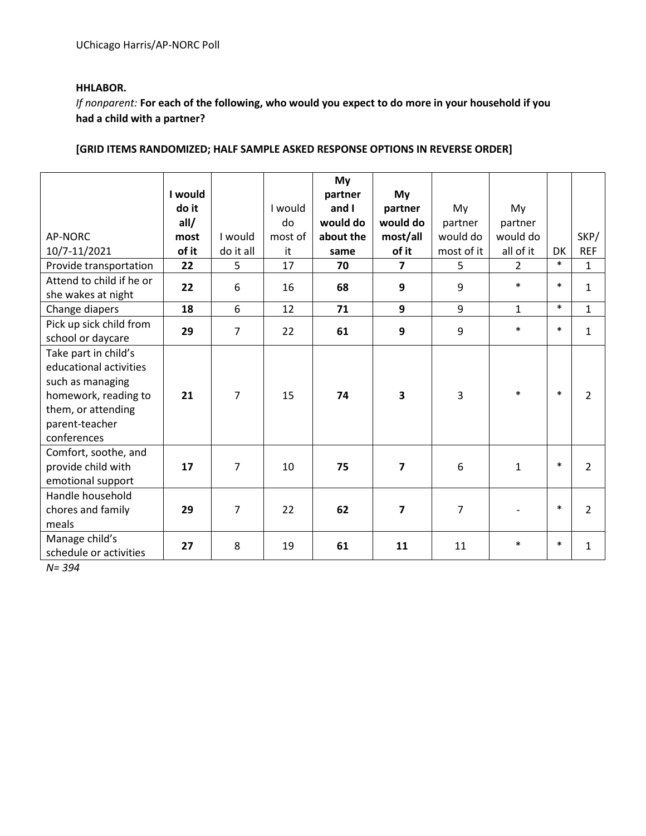## **HHLABOR.**

*If nonparent:* **For each of the following, who would you expect to do more in your household if you had a child with a partner?**

# **[GRID ITEMS RANDOMIZED; HALF SAMPLE ASKED RESPONSE OPTIONS IN REVERSE ORDER]**

|                          | I would |                |         | My<br>partner | My                      |                |                |           |                |
|--------------------------|---------|----------------|---------|---------------|-------------------------|----------------|----------------|-----------|----------------|
|                          | do it   |                | I would | and I         | partner                 | My             | My             |           |                |
|                          | all/    |                | do      | would do      | would do                | partner        | partner        |           |                |
| <b>AP-NORC</b>           | most    | I would        | most of | about the     | most/all                | would do       | would do       |           | SKP/           |
| 10/7-11/2021             | of it   | do it all      | it      | same          | of it                   | most of it     | all of it      | <b>DK</b> | <b>REF</b>     |
| Provide transportation   | 22      | 5              | 17      | 70            | $\overline{7}$          | 5              | $\overline{2}$ | $\ast$    | $\mathbf{1}$   |
| Attend to child if he or | 22      |                | 16      | 68            | 9                       | 9              | $\ast$         | $\ast$    | $\mathbf{1}$   |
| she wakes at night       |         | 6              |         |               |                         |                |                |           |                |
| Change diapers           | 18      | 6              | 12      | 71            | 9                       | 9              | $\mathbf{1}$   | $\ast$    | $\mathbf{1}$   |
| Pick up sick child from  | 29      | $\overline{7}$ | 22      | 61            | 9                       | 9              | $\ast$         | $\ast$    | $\mathbf{1}$   |
| school or daycare        |         |                |         |               |                         |                |                |           |                |
| Take part in child's     |         |                |         |               |                         |                |                |           |                |
| educational activities   |         |                |         |               |                         |                |                |           |                |
| such as managing         |         |                |         |               |                         |                |                |           |                |
| homework, reading to     | 21      | $\overline{7}$ | 15      | 74            | $\overline{\mathbf{3}}$ | 3              | $\ast$         | $\ast$    | $\overline{2}$ |
| them, or attending       |         |                |         |               |                         |                |                |           |                |
| parent-teacher           |         |                |         |               |                         |                |                |           |                |
| conferences              |         |                |         |               |                         |                |                |           |                |
| Comfort, soothe, and     |         |                |         |               |                         |                |                |           |                |
| provide child with       | 17      | $\overline{7}$ | 10      | 75            | $\overline{7}$          | 6              | $\mathbf{1}$   | $\ast$    | $\overline{2}$ |
| emotional support        |         |                |         |               |                         |                |                |           |                |
| Handle household         |         |                |         |               |                         |                |                |           |                |
| chores and family        | 29      | $\overline{7}$ | 22      | 62            | $\overline{\mathbf{z}}$ | $\overline{7}$ |                | $\ast$    | $\overline{2}$ |
| meals                    |         |                |         |               |                         |                |                |           |                |
| Manage child's           | 27      | 8              | 19      | 61            | 11                      | 11             | $\ast$         | $\ast$    | $\mathbf{1}$   |
| schedule or activities   |         |                |         |               |                         |                |                |           |                |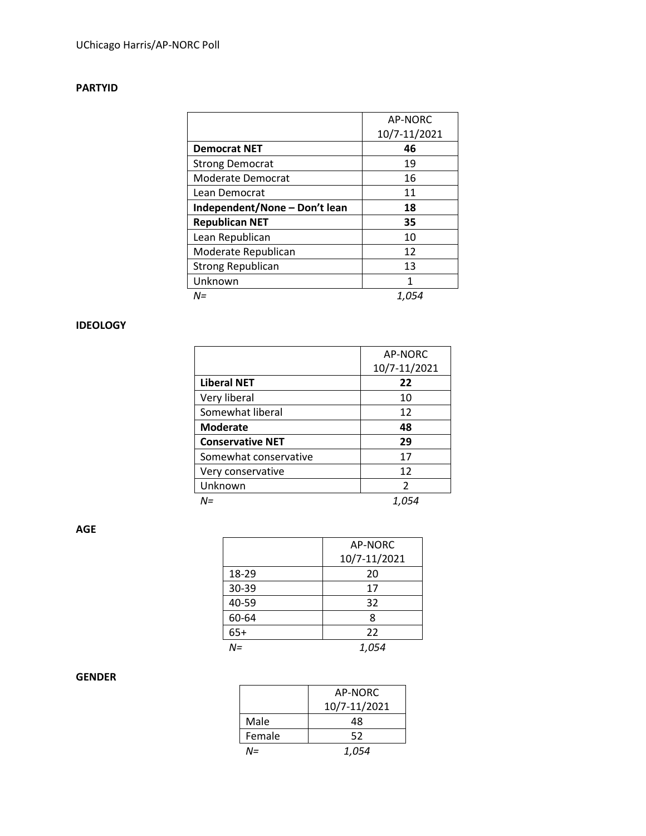# **PARTYID**

|                               | AP-NORC      |
|-------------------------------|--------------|
|                               | 10/7-11/2021 |
| <b>Democrat NET</b>           | 46           |
| <b>Strong Democrat</b>        | 19           |
| Moderate Democrat             | 16           |
| Lean Democrat                 | 11           |
| Independent/None - Don't lean | 18           |
| <b>Republican NET</b>         | 35           |
| Lean Republican               | 10           |
| Moderate Republican           | 12           |
| <b>Strong Republican</b>      | 13           |
| Unknown                       | 1            |
| $N =$                         | 1,054        |

## **IDEOLOGY**

|                         | AP-NORC       |
|-------------------------|---------------|
|                         | 10/7-11/2021  |
| <b>Liberal NET</b>      | 22            |
| Very liberal            | 10            |
| Somewhat liberal        | 12            |
| <b>Moderate</b>         | 48            |
| <b>Conservative NET</b> | 29            |
| Somewhat conservative   | 17            |
| Very conservative       | 12            |
| Unknown                 | $\mathcal{P}$ |
| N=                      |               |

**AGE**

|       | AP-NORC      |
|-------|--------------|
|       | 10/7-11/2021 |
| 18-29 | 20           |
| 30-39 | 17           |
| 40-59 | 32           |
| 60-64 | 8            |
| $65+$ | 22           |
| $N =$ | 1,054        |

# **GENDER**

|        | AP-NORC      |
|--------|--------------|
|        | 10/7-11/2021 |
| Male   | 48           |
| Female | 52           |
| $N =$  | 1,054        |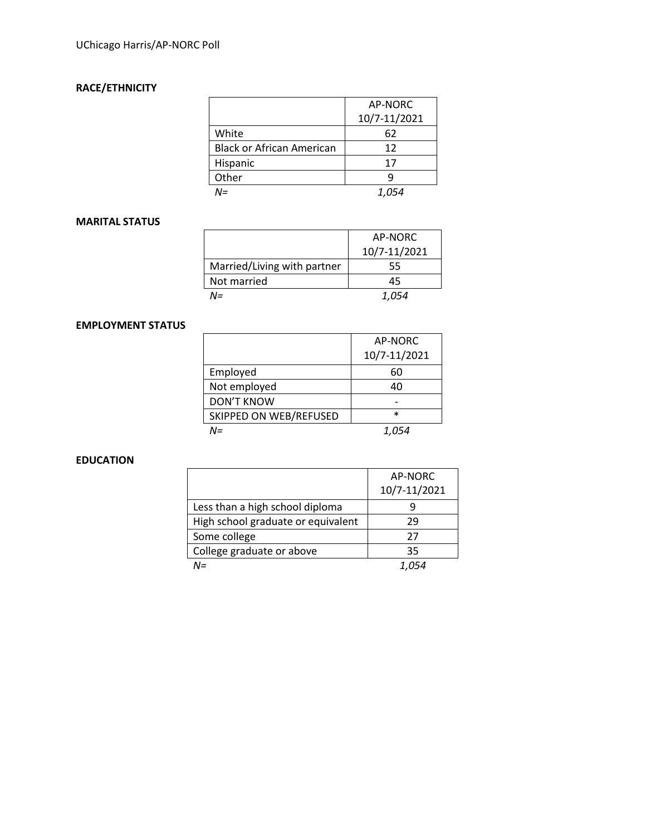# **RACE/ETHNICITY**

|                                  | AP-NORC<br>10/7-11/2021 |
|----------------------------------|-------------------------|
| White                            | 62                      |
|                                  |                         |
| <b>Black or African American</b> | 12                      |
| Hispanic                         | 17                      |
| Other                            |                         |
| NΞ                               | 1.054                   |

#### **MARITAL STATUS**

|                             | AP-NORC      |
|-----------------------------|--------------|
|                             | 10/7-11/2021 |
| Married/Living with partner | 55           |
| Not married                 | 45           |
| N=                          | 1.054        |

## **EMPLOYMENT STATUS**

|                        | AP-NORC      |
|------------------------|--------------|
|                        | 10/7-11/2021 |
| Employed               | 60           |
| Not employed           | 40           |
| <b>DON'T KNOW</b>      |              |
| SKIPPED ON WEB/REFUSED | $\ast$       |
| N=                     | 1.054        |

#### **EDUCATION**

|                                    | AP-NORC      |
|------------------------------------|--------------|
|                                    | 10/7-11/2021 |
| Less than a high school diploma    |              |
| High school graduate or equivalent | 29           |
| Some college                       | 27           |
| College graduate or above          | 35           |
| $N =$                              |              |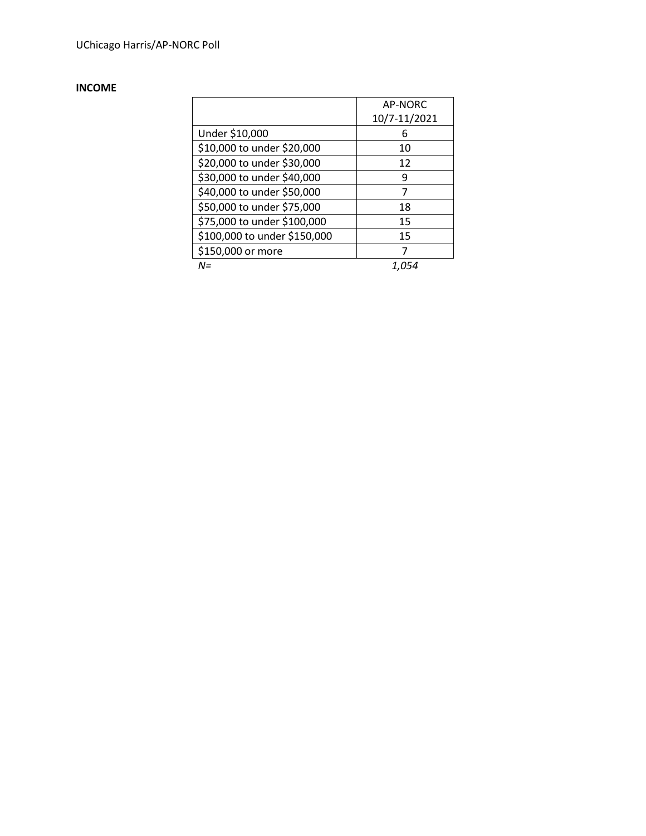# **INCOME**

|                              | AP-NORC<br>10/7-11/2021 |
|------------------------------|-------------------------|
| Under \$10,000               | 6                       |
| \$10,000 to under \$20,000   | 10                      |
| \$20,000 to under \$30,000   | 12                      |
| \$30,000 to under \$40,000   | 9                       |
| \$40,000 to under \$50,000   | 7                       |
| \$50,000 to under \$75,000   | 18                      |
| \$75,000 to under \$100,000  | 15                      |
| \$100,000 to under \$150,000 | 15                      |
| \$150,000 or more            | 7                       |
| N=                           |                         |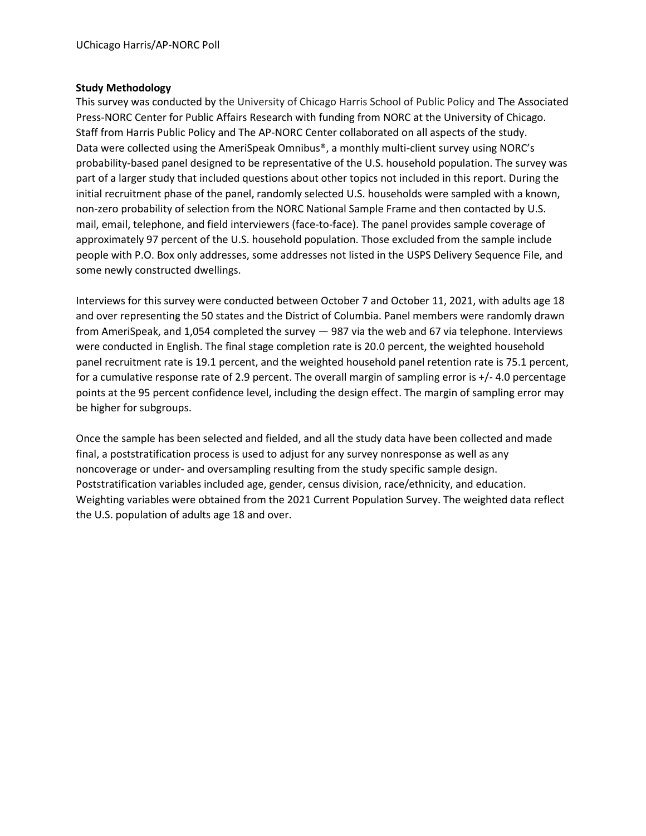#### **Study Methodology**

This survey was conducted by the University of Chicago Harris School of Public Policy and The Associated Press-NORC Center for Public Affairs Research with funding from NORC at the University of Chicago. Staff from Harris Public Policy and The AP-NORC Center collaborated on all aspects of the study. Data were collected using the AmeriSpeak Omnibus®, a monthly multi-client survey using NORC's probability-based panel designed to be representative of the U.S. household population. The survey was part of a larger study that included questions about other topics not included in this report. During the initial recruitment phase of the panel, randomly selected U.S. households were sampled with a known, non-zero probability of selection from the NORC National Sample Frame and then contacted by U.S. mail, email, telephone, and field interviewers (face-to-face). The panel provides sample coverage of approximately 97 percent of the U.S. household population. Those excluded from the sample include people with P.O. Box only addresses, some addresses not listed in the USPS Delivery Sequence File, and some newly constructed dwellings.

Interviews for this survey were conducted between October 7 and October 11, 2021, with adults age 18 and over representing the 50 states and the District of Columbia. Panel members were randomly drawn from AmeriSpeak, and 1,054 completed the survey — 987 via the web and 67 via telephone. Interviews were conducted in English. The final stage completion rate is 20.0 percent, the weighted household panel recruitment rate is 19.1 percent, and the weighted household panel retention rate is 75.1 percent, for a cumulative response rate of 2.9 percent. The overall margin of sampling error is +/- 4.0 percentage points at the 95 percent confidence level, including the design effect. The margin of sampling error may be higher for subgroups.

Once the sample has been selected and fielded, and all the study data have been collected and made final, a poststratification process is used to adjust for any survey nonresponse as well as any noncoverage or under- and oversampling resulting from the study specific sample design. Poststratification variables included age, gender, census division, race/ethnicity, and education. Weighting variables were obtained from the 2021 Current Population Survey. The weighted data reflect the U.S. population of adults age 18 and over.